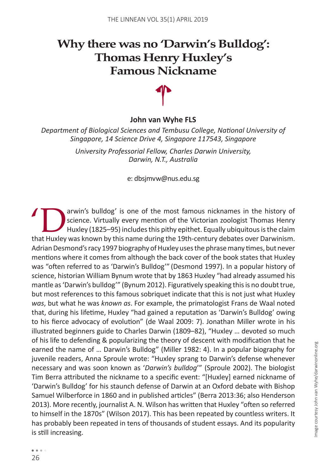# **Why there was no 'Darwin's Bulldog': Thomas Henry Huxley's Famous Nickname**



### **John van Wyhe FLS**

*Department of Biological Sciences and Tembusu College, National University of Singapore, 14 Science Drive 4, Singapore 117543, Singapore*

> *University Professorial Fellow, Charles Darwin University, Darwin, N.T., Australia*

> > e: dbsjmvw@nus.edu.sg

Farwin's bulldog' is one of the most famous nicknames in the history of<br>
Science. Virtually every mention of the Victorian zoologist Thomas Henry<br>
Huxley (1825–95) includes this pithy epithet. Equally ubiquitous is the cla science. Virtually every mention of the Victorian zoologist Thomas Henry Huxley (1825–95) includes this pithy epithet. Equally ubiquitous is the claim that Huxley was known by this name during the 19th-century debates over Darwinism. Adrian Desmond's racy 1997 biography of Huxley uses the phrase many times, but never mentions where it comes from although the back cover of the book states that Huxley was "often referred to as 'Darwin's Bulldog'" (Desmond 1997). In a popular history of science, historian William Bynum wrote that by 1863 Huxley "had already assumed his mantle as 'Darwin's bulldog'" (Bynum 2012). Figuratively speaking this is no doubt true, but most references to this famous sobriquet indicate that this is not just what Huxley *was*, but what he was *known as*. For example, the primatologist Frans de Waal noted that, during his lifetime, Huxley "had gained a reputation as 'Darwin's Bulldog' owing to his fierce advocacy of evolution" (de Waal 2009: 7). Jonathan Miller wrote in his illustrated beginners guide to Charles Darwin (1809–82), "Huxley … devoted so much of his life to defending & popularizing the theory of descent with modification that he earned the name of … Darwin's Bulldog" (Miller 1982: 4). In a popular biography for juvenile readers, Anna Sproule wrote: "Huxley sprang to Darwin's defense whenever necessary and was soon known as '*Darwin's bulldog*'" (Sproule 2002). The biologist Tim Berra attributed the nickname to a specific event: "[Huxley] earned nickname of 'Darwin's Bulldog' for his staunch defense of Darwin at an Oxford debate with Bishop Samuel Wilberforce in 1860 and in published articles" (Berra 2013:36; also Henderson 2013). More recently, journalist A. N. Wilson has written that Huxley "often so referred to himself in the 1870s" (Wilson 2017). This has been repeated by countless writers. It has probably been repeated in tens of thousands of student essays. And its popularity is still increasing.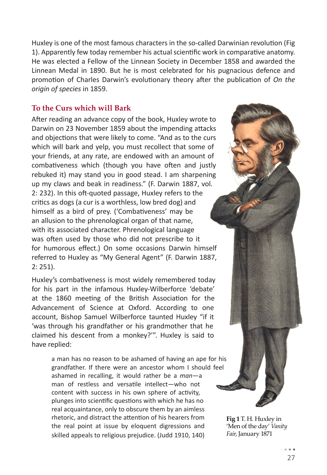Huxley is one of the most famous characters in the so-called Darwinian revolution (Fig 1). Apparently few today remember his actual scientific work in comparative anatomy. He was elected a Fellow of the Linnean Society in December 1858 and awarded the Linnean Medal in 1890. But he is most celebrated for his pugnacious defence and promotion of Charles Darwin's evolutionary theory after the publication of *On the origin of species* in 1859.

## **To the Curs which will Bark**

After reading an advance copy of the book, Huxley wrote to Darwin on 23 November 1859 about the impending attacks and objections that were likely to come. "And as to the curs which will bark and yelp, you must recollect that some of your friends, at any rate, are endowed with an amount of combativeness which (though you have often and justly rebuked it) may stand you in good stead. I am sharpening up my claws and beak in readiness." (F. Darwin 1887, vol. 2: 232). In this oft-quoted passage, Huxley refers to the critics as dogs (a cur is a worthless, low bred dog) and himself as a bird of prey. ('Combativeness' may be an allusion to the phrenological organ of that name, with its associated character. Phrenological language was often used by those who did not prescribe to it for humorous effect.) On some occasions Darwin himself referred to Huxley as "My General Agent" (F. Darwin 1887, 2: 251).

Huxley's combativeness is most widely remembered today for his part in the infamous Huxley-Wilberforce 'debate' at the 1860 meeting of the British Association for the Advancement of Science at Oxford. According to one account, Bishop Samuel Wilberforce taunted Huxley "if it 'was through his grandfather or his grandmother that he claimed his descent from a monkey?'". Huxley is said to have replied:

> a man has no reason to be ashamed of having an ape for his grandfather. If there were an ancestor whom I should feel ashamed in recalling, it would rather be a *man*—a man of restless and versatile intellect—who not content with success in his own sphere of activity, plunges into scientific questions with which he has no real acquaintance, only to obscure them by an aimless rhetoric, and distract the attention of his hearers from the real point at issue by eloquent digressions and skilled appeals to religious prejudice. (Judd 1910, 140)

**Fig 1** T. H. Huxley in 'Men of the day' *Vanity Fair*, January 1871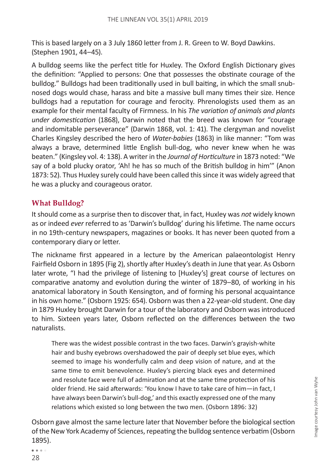This is based largely on a 3 July 1860 letter from J. R. Green to W. Boyd Dawkins. (Stephen 1901, 44–45).

A bulldog seems like the perfect title for Huxley. The Oxford English Dictionary gives the definition: "Applied to persons: One that possesses the obstinate courage of the bulldog." Bulldogs had been traditionally used in bull baiting, in which the small snubnosed dogs would chase, harass and bite a massive bull many times their size. Hence bulldogs had a reputation for courage and ferocity. Phrenologists used them as an example for their mental faculty of Firmness. In his *The variation of animals and plants under domestication* (1868), Darwin noted that the breed was known for "courage and indomitable perseverance" (Darwin 1868, vol. 1: 41). The clergyman and novelist Charles Kingsley described the hero of *Water-babies* (1863) in like manner: "Tom was always a brave, determined little English bull-dog, who never knew when he was beaten." (Kingsley vol. 4: 138). A writer in the *Journal of Horticulture* in 1873 noted: "We say of a bold plucky orator, 'Ah! he has so much of the British bulldog in him'" (Anon 1873: 52). Thus Huxley surely could have been called this since it was widely agreed that he was a plucky and courageous orator.

## **What Bulldog?**

It should come as a surprise then to discover that, in fact, Huxley was *not* widely known as or indeed *ever* referred to as 'Darwin's bulldog' during his lifetime. The name occurs in no 19th-century newspapers, magazines or books. It has never been quoted from a contemporary diary or letter.

The nickname first appeared in a lecture by the American palaeontologist Henry Fairfield Osborn in 1895 (Fig 2), shortly after Huxley's death in June that year. As Osborn later wrote, "I had the privilege of listening to [Huxley's] great course of lectures on comparative anatomy and evolution during the winter of 1879–80, of working in his anatomical laboratory in South Kensington, and of forming his personal acquaintance in his own home." (Osborn 1925: 654). Osborn was then a 22-year-old student. One day in 1879 Huxley brought Darwin for a tour of the laboratory and Osborn was introduced to him. Sixteen years later, Osborn reflected on the differences between the two naturalists.

There was the widest possible contrast in the two faces. Darwin's grayish-white hair and bushy eyebrows overshadowed the pair of deeply set blue eyes, which seemed to image his wonderfully calm and deep vision of nature, and at the same time to emit benevolence. Huxley's piercing black eyes and determined and resolute face were full of admiration and at the same time protection of his older friend. He said afterwards: 'You know I have to take care of him—in fact, I have always been Darwin's bull-dog,' and this exactly expressed one of the many relations which existed so long between the two men. (Osborn 1896: 32)

Osborn gave almost the same lecture later that November before the biological section of the New York Academy of Sciences, repeating the bulldog sentence verbatim (Osborn 1895).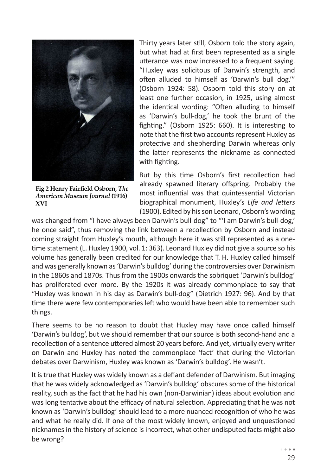

**Fig 2 Henry Fairfield Osborn,** *The American Museum Journal* **(1916) XVI**

Thirty years later still, Osborn told the story again, but what had at first been represented as a single utterance was now increased to a frequent saying. "Huxley was solicitous of Darwin's strength, and often alluded to himself as 'Darwin's bull dog.'" (Osborn 1924: 58). Osborn told this story on at least one further occasion, in 1925, using almost the identical wording: "Often alluding to himself as 'Darwin's bull-dog,' he took the brunt of the fighting." (Osborn 1925: 660). It is interesting to note that the first two accounts represent Huxley as protective and shepherding Darwin whereas only the latter represents the nickname as connected with fighting.

But by this time Osborn's first recollection had already spawned literary offspring. Probably the most influential was that quintessential Victorian biographical monument, Huxley's *Life and letters* (1900). Edited by his son Leonard, Osborn's wording

was changed from "I have always been Darwin's bull-dog" to "'I am Darwin's bull-dog,' he once said", thus removing the link between a recollection by Osborn and instead coming straight from Huxley's mouth, although here it was still represented as a onetime statement (L. Huxley 1900, vol. 1: 363). Leonard Huxley did not give a source so his volume has generally been credited for our knowledge that T. H. Huxley called himself and was generally known as 'Darwin's bulldog' during the controversies over Darwinism in the 1860s and 1870s. Thus from the 1900s onwards the sobriquet 'Darwin's bulldog' has proliferated ever more. By the 1920s it was already commonplace to say that "Huxley was known in his day as Darwin's bull-dog" (Dietrich 1927: 96). And by that time there were few contemporaries left who would have been able to remember such things.

There seems to be no reason to doubt that Huxley may have once called himself 'Darwin's bulldog', but we should remember that our source is both second-hand and a recollection of a sentence uttered almost 20 years before. And yet, virtually every writer on Darwin and Huxley has noted the commonplace 'fact' that during the Victorian debates over Darwinism, Huxley was known as 'Darwin's bulldog'. He wasn't.

It is true that Huxley was widely known as a defiant defender of Darwinism. But imaging that he was widely acknowledged as 'Darwin's bulldog' obscures some of the historical reality, such as the fact that he had his own (non-Darwinian) ideas about evolution and was long tentative about the efficacy of natural selection. Appreciating that he was not known as 'Darwin's bulldog' should lead to a more nuanced recognition of who he was and what he really did. If one of the most widely known, enjoyed and unquestioned nicknames in the history of science is incorrect, what other undisputed facts might also be wrong?